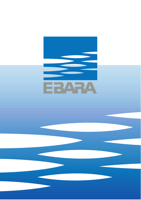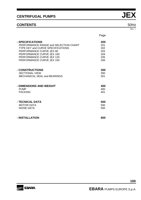## **CONTENTS** 50Hz

|                                          | Page |
|------------------------------------------|------|
| - SPECIFICATIONS                         | 200  |
| PERFORMANCE RANGE and SELECTION CHART    | 201  |
| <b>TYPE KEY and CURVE SPECIFICATIONS</b> | 202  |
| PERFORMANCE CURVE JEX 80                 | 203  |
| PERFORMANCE CURVE JEX 100                | 204  |
| PERFORMANCE CURVE JEX 120                | 205  |
| PERFORMANCE CURVE JEX 150                | 206  |
| - CONSTRUCTIONS                          | 300  |
| <b>SECTIONAL VIEW</b>                    | 300  |
| MECHANICAL SEAL and BEARINGS             | 301  |
| - DIMENSIONS AND WEIGHT                  | 400  |
| <b>PUMP</b>                              | 400  |
| <b>PACKING</b>                           | 401  |
| - TECNICAL DATA                          | 500  |
| <b>MOTOR DATA</b>                        | 500  |
| <b>NOISE DATA</b>                        | 500  |
| - INSTALLATION                           | 600  |

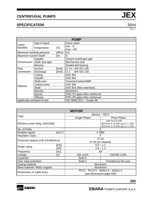## **SPECIFICATION** 50Hz

|                             |                          |                 | <b>PUMP</b>                   |
|-----------------------------|--------------------------|-----------------|-------------------------------|
| Liquid                      | Type of liquid           |                 | Clean water                   |
| Handled                     | Temperature              | $[\mathcal{C}]$ | $min. +5$                     |
|                             |                          |                 | max. +45                      |
|                             | Maximum working pressure | [MPa]           | 0.6                           |
| Maximum suction depth       |                          | [m]             | 8                             |
|                             | Impeller                 |                 | Closed centrifugal type       |
| Construction                | Shaft seal type          |                 | Mechanical seal               |
|                             | <b>Bearing</b>           |                 | Sealed ball bearing           |
| Pipe                        | Suction                  | [inch]          | G 11/4 UNI ISO 228            |
| Connection                  | Discharge                | [inch]          | <b>UNI ISO 228</b><br>G 1     |
|                             | Casing                   |                 | <b>AISI 304</b>               |
|                             | Impeller                 |                 | <b>AISI 304</b>               |
|                             | Shaft seal               |                 | Ceramic/Carbon/NBR            |
| Material                    | Casing cover             |                 | <b>AISI 304</b>               |
|                             | Shaft                    |                 | AISI 303 (Wet extension)      |
|                             | <b>Bracket</b>           |                 | Aluminium                     |
|                             | Ejector                  |                 | PPE+PS glass fibre reinforced |
| <b>Diffuser</b>             |                          |                 | PPE+PS glass fibre reinforced |
| Applicable standard of test |                          |                 | ISO 9906:2012 - Grade 3B      |

|                                    |                          | <b>MOTOR</b>                                                                      |                                                                |  |  |  |  |
|------------------------------------|--------------------------|-----------------------------------------------------------------------------------|----------------------------------------------------------------|--|--|--|--|
|                                    |                          |                                                                                   | Electric - TEFC                                                |  |  |  |  |
| <b>Type</b>                        |                          | Single Phase                                                                      | Three Phase                                                    |  |  |  |  |
| Efficiency level (Reg. 640/2009)   |                          | only for 0.6 kW<br>IE2 from 0.75 kW up to 1.1 kW<br>IE3 from 0.75 kW up to 1.1 kW |                                                                |  |  |  |  |
| No. of Poles                       |                          |                                                                                   | 2                                                              |  |  |  |  |
| <b>Rotation speed</b>              | ${\sf Imin^{-1}}{\sf I}$ |                                                                                   | $\approx 2800$                                                 |  |  |  |  |
| <b>Insulation Class</b>            |                          |                                                                                   | F                                                              |  |  |  |  |
| Protection degree (CEI EN 60034-5) |                          |                                                                                   | <b>IP 54</b><br>IP 55 (on request)                             |  |  |  |  |
|                                    | [kW]                     | $0.6 \div 1.1$                                                                    |                                                                |  |  |  |  |
| Power rating                       | [HP]                     |                                                                                   | $0.8 \div 1.5$                                                 |  |  |  |  |
| Frequency                          | [Hz]                     |                                                                                   | 50                                                             |  |  |  |  |
| Voltage                            | [V]                      | 230 ±10%                                                                          | 230/400 ±10%                                                   |  |  |  |  |
| Capacitor                          |                          | <b>Built in</b>                                                                   |                                                                |  |  |  |  |
| Over load protection               |                          | <b>Built in</b>                                                                   | Provided by the user                                           |  |  |  |  |
| Casing material                    |                          |                                                                                   | Aluminium                                                      |  |  |  |  |
| Base material / Motor support      |                          | Aluminium                                                                         |                                                                |  |  |  |  |
| Dimensions of cable entry          |                          |                                                                                   | PG11 - PG13.5 - M16x1.5 - M20x1.5<br>(see dimensions page 400) |  |  |  |  |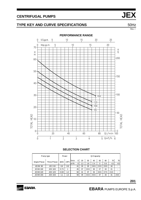## **TYPE KEY AND CURVE SPECIFICATIONS** 50Hz

**PERFORMANCE RANGE**   $\frac{5}{1}$  $20$  $^{25}$  $^{10}$  $15 \overline{)}$  $\overline{0}$ U.S.g.p.m.  $\frac{15}{1}$  $20$  $\frac{5}{1}$  $10$ Imp.g.p.m.  $\Omega$ 70  $\boldsymbol{\mathsf{H}}$  $\mathsf{H}%$  $ft$  $m$  $-200$ 60-50- $-150$  $40 -100$  $30 \overline{150}$  $-120$  $\frac{1}{100}$  $20 -$ -80-50 TOTAL HEAD  $0\begin{array}{c} 0 \\ 0 \end{array}$  $\overline{0}$  $QI/min 100$  $2<sup>0</sup>$  $6<sup>1</sup>$  $8<sup>1</sup>$  $40^{\circ}$  $\frac{1}{5}$  Qm<sup>3</sup>/h  $\frac{1}{6}$  $\sqrt{0}$  $\frac{1}{2}$  $\frac{1}{3}$  $\frac{1}{4}$  $\overline{1}$ 

#### **SELECTION CHART**

| Pump type        |                | Power |      |                   |    |     |      | Q=Capacity |      |      |      |      |
|------------------|----------------|-------|------|-------------------|----|-----|------|------------|------|------|------|------|
| Single Phase     | Three Phase    | [kW]  | 'HPi | l/min             | 0  | 20  | 30   | 40         | 50   | 60   | 70   | 75 I |
|                  |                |       |      | m <sup>3</sup> /h | 0  | 1.2 | 1.8  | 2.4        | 3    | 3.6  | 4.2  | 4.5  |
| JEXM 80          | <b>JEX 80</b>  | 0.6   | 0.8  |                   | 41 | 33  | 29   | 26.5       | 23.5 | 20.5 | 18   | -    |
| <b>JE XM 100</b> | <b>JEX 100</b> | 0.75  |      |                   | 45 | 37  | 33.5 | 30         | 27   | 24   | 21   | -    |
| <b>JE XM 120</b> | <b>JEX 120</b> | 0.88  | 1.2  |                   | 50 | 41  | 37   | 34         | 30.5 | 27.5 | 24.5 | -    |
| <b>JE XM 150</b> | <b>JEX 150</b> | 1.1   | 1.5  |                   | 59 | 49  | 44.5 | 40.5       | 37   | 34   | 31   | 29.5 |

Rev. I

TOTAL HEAD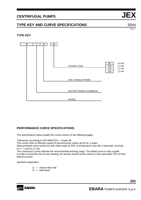## **TYPE KEY AND CURVE SPECIFICATIONS** 50Hz

Rev. I

### **TYPE KEY**



### **PERFORMANCE CURVE SPECIFICATIONS**

The specifications below qualify the curves shown on the following pages.

Tolerances according to ISO 9906:2012 – Grade 3B

The curves refer to effective speed of asynchronous motors at 50 Hz, 2 poles.

Measurements were carried out with clean water at 20°C of temperature and with a kinematic viscosity of  $v = 1$  mm<sup>2</sup>/s (1 cSt)

The continuous curves indicate the recommended working range. The dotted curve is only a guide. In order to avoid the risk of over-heating, the pumps should not be used at a flow rate below 10% of best efficiency point.

Symbols explanation:

- $Q =$  volume flow rate
- $H =$  total head

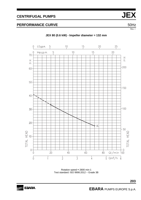Rev. I

## **PERFORMANCE CURVE**  50Hz



**JEX 80 (0.6 kW) - Impeller diameter = 132 mm** 

Rotation speed ≈ 2800 min-1 Test standard: ISO 9906:2012 – Grade 3B

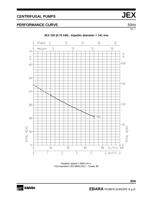## **PERFORMANCE CURVE**  50Hz



Rotation speed ≈ 2800 min-1 Test standard: ISO 9906:2012 – Grade 3B



**204**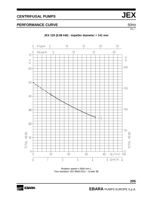

**JEX 120 (0.88 kW) - Impeller diameter = 141 mm**

Rotation speed ≈ 2800 min-1 Test standard: ISO 9906:2012 – Grade 3B

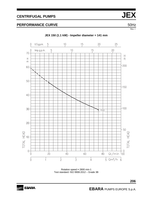## **PERFORMANCE CURVE**  50Hz



#### **JEX 150 (1.1 kW) - Impeller diameter = 141 mm**

Rotation speed ≈ 2800 min-1 Test standard: ISO 9906:2012 – Grade 3B



**206**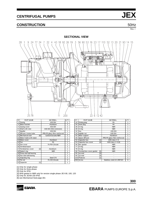### **CONSTRUCTION** 50Hz

Rev. I

#### **SECTIONAL VIEW**



| N°              | <b>PART NAME</b>        |     | <b>MATERIAL</b>               | Q.TY |
|-----------------|-------------------------|-----|-------------------------------|------|
| 1               | Casing                  |     | A ISI 304                     | 1    |
| 3               | Motor bracket           |     | Aluminium                     | 1    |
| 4               | Casing cover            |     | A ISI 304                     | 1    |
| 6               | Shaft with rotor        |     | AISI 303 (Wet extension)      | 1    |
| 7               | Impeller                |     | A ISI 304                     | 1    |
| 9               | Diffuser Venturi tube   |     | PPE+PS glass fibre reinforced | 1    |
| 11              | Mechanical seal         | [6] | Carbon/Ceramic/NBR            | 1    |
| 12 <sub>1</sub> | Motor frame with stator |     |                               | 1    |
|                 | 13 Motor cover          |     | Aluminium                     | 1    |
| 14              | Fan                     |     | <b>PA</b>                     | 1    |
| 15 <sup>1</sup> | Fan cover               |     | Fe P04 Zincate                | 1    |
| 16              | Terminal board          |     |                               | 1    |
| 17 <sup>1</sup> | Terminal box cover      | [2] | Aluminium                     | 1    |
| 18 <sup>1</sup> | Splash ring             |     | <b>NBR</b>                    | 1    |
| 19              | Pump side ball bearing  |     |                               | 1    |
| 20 <sub>l</sub> | Fan side ball bearing   |     |                               | 1    |
| 21              | Adjusting ring          |     | Steel C70                     | 1    |
| 22              | Tie rod                 |     | Fe 420 Zincate                | 4    |
| 23              | Capacitor               | [1] |                               | 1    |

| N° | PART NAME                      | <b>MATERIAL</b>               | Q.TY | $N^{\circ}$ | PART NAME                 |                                                                                                                                                            | <b>MATERIAL</b>               | Q.TY |
|----|--------------------------------|-------------------------------|------|-------------|---------------------------|------------------------------------------------------------------------------------------------------------------------------------------------------------|-------------------------------|------|
|    | Casing                         | AISI 304                      |      | 24          | Priming plug              |                                                                                                                                                            | PA                            |      |
|    | Motor bracket                  | Aluminium                     |      | 25          | Drain plug                |                                                                                                                                                            | PA                            |      |
|    | Casing cover                   | AISI 304                      |      | 26          | O-ring                    |                                                                                                                                                            | <b>NBR</b>                    |      |
| 6  | Shaft with rotor               | AISI 303 (Wet extension)      |      | 28          | $O$ -ring                 |                                                                                                                                                            | <b>NBR</b>                    |      |
|    | Impeller                       | A ISI 304                     |      | 32          | Key                       |                                                                                                                                                            | AISI 304                      |      |
| 9  | Diffuser Venturi tube          | PPE+PS glass fibre reinforced |      | 34          | Impeller nut              |                                                                                                                                                            | AISI 304                      |      |
|    | Mechanical seal<br>[6]         | Carbon/Ceramic/NBR            |      | 42          | Motor support             |                                                                                                                                                            | Aluminium                     |      |
|    | 12 Motor frame with stator     |                               |      | 43          | Space diffuser            |                                                                                                                                                            | PPE+PS glass fibre reinforced |      |
|    | 13 Motor cover                 | Aluminium                     |      |             | 52 Capacitor box          | $\mathsf{I}1$                                                                                                                                              | ABS class V-0                 |      |
|    | 14 Fan                         | <b>PA</b>                     |      |             | 53 Capacitor box cover    | [4]                                                                                                                                                        | ABS class V-0 [4]             |      |
|    | 15 Fan cover                   | Fe P04 Zincate                |      |             | 56 Box gasket             |                                                                                                                                                            | <b>NBR</b>                    |      |
|    | 16 Terminal board              |                               |      | 77          | O-ring                    |                                                                                                                                                            | <b>NBR</b>                    |      |
|    | 17 Terminal box cover<br>$[2]$ | Aluminium                     |      |             | 78 O-ring                 |                                                                                                                                                            | <b>NBR</b>                    |      |
|    | 18 Splash ring                 | <b>NBR</b>                    |      | 90          | Terminal box cover gasket | $[5]$                                                                                                                                                      | <b>NBR</b>                    |      |
|    | 19 Pump side ball bearing      |                               |      | 92          | Lip seal                  | $[3] % \includegraphics[width=0.9\columnwidth]{figures/fig_1a} \caption{Schematic diagram of the top of the top of the top of the right.} \label{fig:1} %$ |                               |      |
|    | 20 Fan side ball bearing       |                               |      | 93          | Lip seal                  | $[3]$                                                                                                                                                      |                               |      |
|    | 21 Adjusting ring              | Steel C70                     |      |             | 110 Protector             | $[1]$                                                                                                                                                      |                               |      |
|    | $22$ Tie rod                   | Fe 420 Zincate                | 4    |             | 200 Screw                 |                                                                                                                                                            | Stainless steel A2 UNI7323    | 8    |
|    |                                |                               |      |             |                           |                                                                                                                                                            |                               |      |

[1] Only for single phase

[2] Only for three phase

[3] Only for IP55

[4] Whit gasket in NBR only for version single phase JEX 80, 100, 120

[5] Only for JEXM 150 IP55

[6] see Mechanical Seal page.301

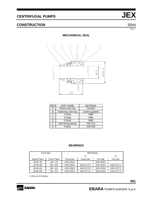## **CONSTRUCTION** 50Hz

Rev. I

#### **MECHANICAL SEAL**



| <b>REF</b> | PART NAME            | <b>MATERIAL</b> |
|------------|----------------------|-----------------|
| А          | Rotary seal ring     | Ceramic         |
| B          | Stationary seal ring | Carbon graphite |
| C          | O Ring               | <b>NBR</b>      |
| D          | O Ring               | <b>NBR</b>      |
| E.         | O Ring               | <b>NBR</b>      |
| F          | Self driving spring  | <b>AISI 316</b> |
| G          | Frame                | <b>AISI 304</b> |

#### **BEARINGS**

| Pump type       |                |           | <b>Ball Bearing</b> |           |            |
|-----------------|----------------|-----------|---------------------|-----------|------------|
|                 |                |           | $(*)$               |           | $(*)$      |
| Single Phase    | Three Phase    | Pump side | Pump side           | Fan side  | Fanside    |
| JEXM 80         | JEX 80         | 62032RSH  | ٠                   | 6202 2RSH |            |
| <b>JEXM 100</b> | <b>JEX 100</b> | 62032RSH  | 6203-ZZ C3          | 6202 2RSH | 6202-ZZ C3 |
| <b>JEXM 120</b> | <b>JEX 120</b> | 62032RSH  | 6203-ZZ C3          | 6202 2RSH | 6202-ZZ C3 |
| <b>JEXM 150</b> | <b>JEX 150</b> | 62042RSH  | 6204-ZZ C3          | 6203 2RSH | 6203-ZZ C3 |

(\*) Only for IE3 Motors

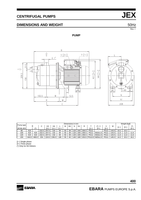## **DIMENSIONS AND WEIGHT 1999 120 SOME 2014 12:00 12:00 SOME 2014 2014 12:00 12:00 12:00 12:00 12:00 12:00 12:00 12:00 12:00 12:00 12:00 12:00 12:00 12:00 12:00 12:00 12:00 12:00 12:00 12:00 12:00 12:00 12:00 12:00 12:00 12:**

Rev. I

#### **PUMP**





|           |       | Dimensions in mm |       |                |                |       |    |    |     |                |       |               |         |                 |       | Weight [kgf] |       |                 |
|-----------|-------|------------------|-------|----------------|----------------|-------|----|----|-----|----------------|-------|---------------|---------|-----------------|-------|--------------|-------|-----------------|
| Pump type |       | в                |       | H <sub>3</sub> | H <sub>4</sub> |       | M  | M1 | Ν   | N <sub>1</sub> | R     |               |         |                 | W     |              | $[3-$ | $^{\prime\ast}$ |
| JEXM-JEX  |       |                  |       | $[3-]$         | $1 -$          | ี่ 1∼ |    |    |     |                |       | $1 -$         | Г3~і    | $13 - i$        |       | $\sim$       |       | $13-$           |
| 80        | 419   |                  | 232.5 | 207.5          | 216            | 84    | 50 | 38 | 120 | 160            | 206.5 | <b>PG11</b>   | -       | PG <sub>1</sub> | 143.5 | 10.2         | 10.2  |                 |
| 100       | 419   | 419              | 232.5 | 207.5          | 216            | 84    | 50 | 38 | 120 | 160            | 206.5 | <b>PG11</b>   | M16x1.5 | <b>PG11</b>     | 143.5 | 11.6         | 11.6  | 11.6            |
| 120       | 419   | 419              | 232.5 | 207.5          | 216            | 84    | 50 | 38 | 120 | 160            | 206.5 | <b>PG11</b>   | M16x1.5 | <b>PG11</b>     | 143.5 | 11.6         | 11.6  | 11.6            |
| 150       | 444.5 | 469.5            | 254   | 224.5          | 236.5          | 106   | 55 | 40 | 140 | 180            | 203.5 | <b>PG13.5</b> | M20x1.5 | <b>PG11</b>     | 145.5 | 14.3         | 15.3  | 16.2            |

[1~] Single phase

[3~] Three phase

(\*) Only for IE3 Motors

**SE EBARA** 

**EBARA** PUMPS EUROPE S.p.A.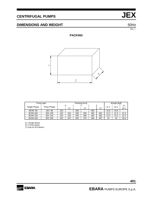## **DIMENSIONS AND WEIGHT 1999 120 SOME 200 SOME 200 SOME 200 SOME 200 SOME 200 SOME 200 SOME 200 SOME 200 SOME 200 SOME 200 SOME 200 SOME 200 SOME 200 SOME 200 SOME 200 SOME 200 SOME 200 SOME 200 SOME 200 SOME 200 SOME 200 S**

Rev. I

### **PACKING**



|                 | Pump type      |     |                             |     | Packing [mm]     |     |                        | Weight [kgf] |      |                                |  |
|-----------------|----------------|-----|-----------------------------|-----|------------------|-----|------------------------|--------------|------|--------------------------------|--|
| Single Phase    | Three Phase    |     | X<br>$\left( \star \right)$ |     | $^{\prime\star}$ |     | $\left( \star \right)$ | $1 -$        | [3~] | $(\dot{\phantom{a}}^*)$<br>[3~ |  |
| JEXM 80         | JEX 80         | 222 | -                           | 265 |                  | 462 | -                      | 10.9         | 10.9 |                                |  |
| <b>JEXM 100</b> | <b>JEX 100</b> | 222 | 222                         | 265 | 265              | 462 | 462                    | 12.3         | 12.3 | 12.3                           |  |
| <b>JEXM 120</b> | <b>JEX 120</b> | 222 | 222                         | 265 | 265              | 462 | 462                    | 12.3         | 12.3 | 12.3                           |  |
| <b>JEXM 150</b> | <b>JEX 150</b> | 222 | 227                         | 265 | 275              | 462 | 497                    | 15           | 16   | 16.9                           |  |

[1~] Single phase

[3~] Three phase

(\*) Only for IE3 Motors

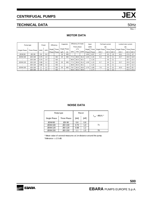## **TECHNICAL DATA** 50Hz

Rev. I

### **MOTOR DATA**

| Pump type                |                |      | Power |        | Efficiency      | Capacitor     |              |      | Efficiency (% load) |             | Input          |       | Full load current        |       |             | Locked rotor current |       |             |
|--------------------------|----------------|------|-------|--------|-----------------|---------------|--------------|------|---------------------|-------------|----------------|-------|--------------------------|-------|-------------|----------------------|-------|-------------|
|                          |                |      |       |        |                 |               |              |      |                     | Three phase |                | [kW]  | [A]                      |       |             | [A]                  |       |             |
| Single Phase             | Three Phase    | [kW] | [HP]  | Single | Three           |               | Single Phase |      | $\eta$ %            |             | Single         | Three | Single Phase             |       | Three Phase | Single Phase         |       | Three Phase |
|                          |                |      |       | Phase  | Phase           | [ <i>u</i> F] | <b>IVI</b>   | 50%  | 75%                 | 100%        | Phase          | Phase | 230 V                    | 230 V | 400 V       | 230 V                | 230 V | 400 V       |
| JEXM 80                  | <b>JEX 80</b>  | 0.6  | 0.8   |        |                 | 16            | 450          |      |                     | ۰           | 1.05           | 0.97  | 4.7                      | 3.3   | 1.9         | 16.1                 | 17.0  | 9.7         |
| <b>JEXM 100</b>          | <b>JEX 100</b> | 0.75 | 1.0   |        | IE <sub>2</sub> | 20            | 450          | 77.2 | 80.9                | 81.3        | 1.33           | 1.15  | 6.4                      | 3.6   | 2.1         | 22.7                 | 22.0  | 12.9        |
|                          | <b>JEX 100</b> | 0.75 | 1.0   |        | IE <sub>3</sub> | ۰             |              | 80.9 | 82.3                | 82.1        | ۰              | 1.15  |                          | 3.6   | 2.1         |                      | 19.7  | 11.4        |
| <b>JEXM 120</b>          | <b>JEX 120</b> | 0.88 | 1.2   |        | IE <sub>2</sub> | 20            | 450          | 77.2 | 80.9                | 81.3        | 1.39           | 1.15  | 6.7                      | 3.6   | 2.1         | 22.7                 | 22.0  | 12.9        |
| $\overline{\phantom{a}}$ | <b>JEX 120</b> | 0.88 | 1.2   |        | IE <sub>3</sub> | ٠             |              | 80.9 | 82.3                | 82.1        | $\blacksquare$ | 1.15  | $\overline{\phantom{a}}$ | 3.6   | 2.1         | ۰                    | 19.7  | 11.4        |
| <b>JEXM 150</b>          | <b>JEX 150</b> | 1.1  | 1.5   |        | IE <sub>2</sub> | 35            | 450          | 79.7 | 82.5                | 83.0        | 1.70           | 1.80  | 7.6                      | 5.5   | 3.2         | 32.5                 | 45.0  | 25.7        |
|                          | <b>JEX 150</b> |      | 1.5   |        | IE <sub>3</sub> | ۰             |              | 83.5 | 84.3                | 84.6        | $\blacksquare$ | .77   |                          | 5.8   | 3.3         |                      | 47.4  | 27.4        |

#### **NOISE DATA**

|                 | Pump type      |      | Pow er |                       |
|-----------------|----------------|------|--------|-----------------------|
| Single Phase    | Three Phase    | [kW] | [HP]   | $L_{pA}$ - dB(A) $^*$ |
| JEXM 80         | <b>JEX 80</b>  | 0.6  | 0.8    |                       |
| <b>JEXM 100</b> | <b>JEX 100</b> | 0.75 | 1,0    | 71                    |
| <b>JEXM 120</b> | <b>JEX 120</b> | 0.88 | 1.2    |                       |
| <b>JEXM 150</b> | <b>JEX 150</b> | 1.1  | 1.5    | 76                    |

Tollerance  $\pm 2.5$  dB. \* Mean value of several measures at 1m distance around the pump.